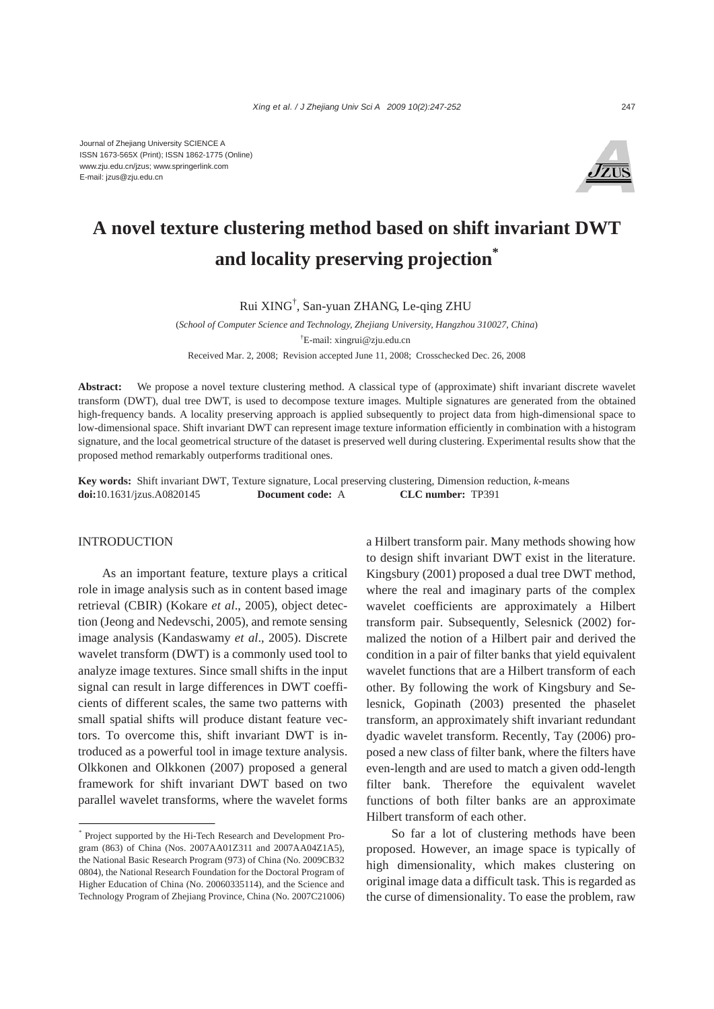

# **A novel texture clustering method based on shift invariant DWT and locality preserving projection\***

Rui XING† , San-yuan ZHANG, Le-qing ZHU

(*School of Computer Science and Technology, Zhejiang University, Hangzhou 310027, China*) † E-mail: xingrui@zju.edu.cn Received Mar. 2, 2008; Revision accepted June 11, 2008; Crosschecked Dec. 26, 2008

**Abstract:** We propose a novel texture clustering method. A classical type of (approximate) shift invariant discrete wavelet transform (DWT), dual tree DWT, is used to decompose texture images. Multiple signatures are generated from the obtained high-frequency bands. A locality preserving approach is applied subsequently to project data from high-dimensional space to low-dimensional space. Shift invariant DWT can represent image texture information efficiently in combination with a histogram signature, and the local geometrical structure of the dataset is preserved well during clustering. Experimental results show that the proposed method remarkably outperforms traditional ones.

**Key words:** Shift invariant DWT, Texture signature, Local preserving clustering, Dimension reduction, *k*-means **doi:**10.1631/jzus.A0820145 **Document code:** A **CLC number:** TP391

#### INTRODUCTION

As an important feature, texture plays a critical role in image analysis such as in content based image retrieval (CBIR) (Kokare *et al*., 2005), object detection (Jeong and Nedevschi, 2005), and remote sensing image analysis (Kandaswamy *et al*., 2005). Discrete wavelet transform (DWT) is a commonly used tool to analyze image textures. Since small shifts in the input signal can result in large differences in DWT coefficients of different scales, the same two patterns with small spatial shifts will produce distant feature vectors. To overcome this, shift invariant DWT is introduced as a powerful tool in image texture analysis. Olkkonen and Olkkonen (2007) proposed a general framework for shift invariant DWT based on two parallel wavelet transforms, where the wavelet forms a Hilbert transform pair. Many methods showing how to design shift invariant DWT exist in the literature. Kingsbury (2001) proposed a dual tree DWT method, where the real and imaginary parts of the complex wavelet coefficients are approximately a Hilbert transform pair. Subsequently, Selesnick (2002) formalized the notion of a Hilbert pair and derived the condition in a pair of filter banks that yield equivalent wavelet functions that are a Hilbert transform of each other. By following the work of Kingsbury and Selesnick, Gopinath (2003) presented the phaselet transform, an approximately shift invariant redundant dyadic wavelet transform. Recently, Tay (2006) proposed a new class of filter bank, where the filters have even-length and are used to match a given odd-length filter bank. Therefore the equivalent wavelet functions of both filter banks are an approximate Hilbert transform of each other.

So far a lot of clustering methods have been proposed. However, an image space is typically of high dimensionality, which makes clustering on original image data a difficult task. This is regarded as the curse of dimensionality. To ease the problem, raw

<sup>\*</sup> Project supported by the Hi-Tech Research and Development Program (863) of China (Nos. 2007AA01Z311 and 2007AA04Z1A5), the National Basic Research Program (973) of China (No. 2009CB32 0804), the National Research Foundation for the Doctoral Program of Higher Education of China (No. 20060335114), and the Science and Technology Program of Zhejiang Province, China (No. 2007C21006)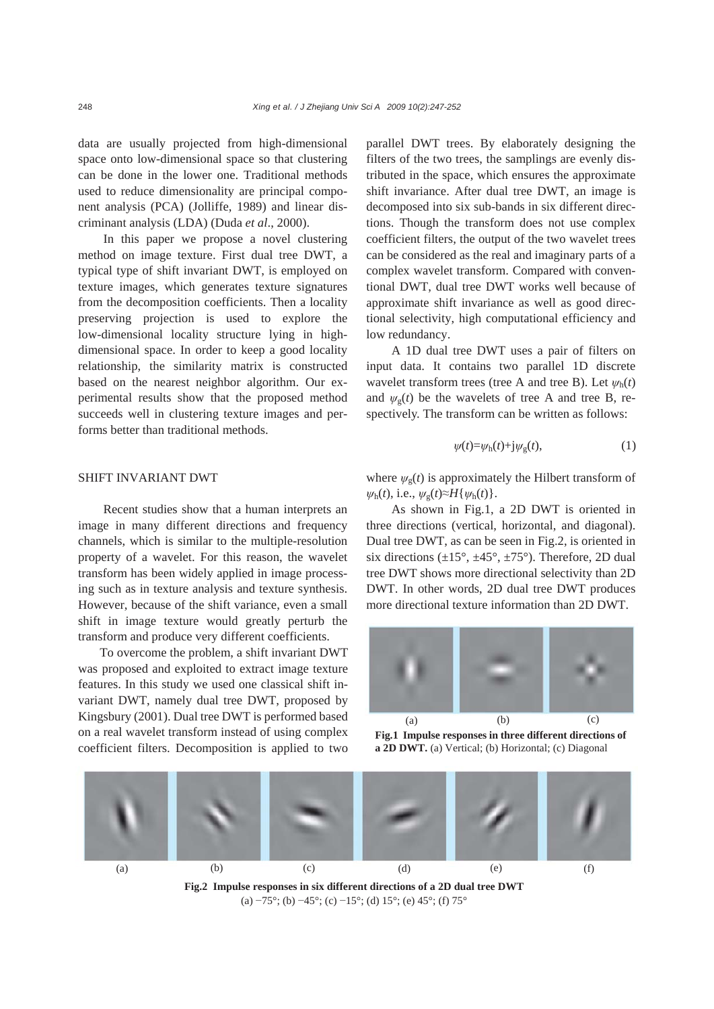data are usually projected from high-dimensional space onto low-dimensional space so that clustering can be done in the lower one. Traditional methods used to reduce dimensionality are principal component analysis (PCA) (Jolliffe, 1989) and linear discriminant analysis (LDA) (Duda *et al*., 2000).

In this paper we propose a novel clustering method on image texture. First dual tree DWT, a typical type of shift invariant DWT, is employed on texture images, which generates texture signatures from the decomposition coefficients. Then a locality preserving projection is used to explore the low-dimensional locality structure lying in highdimensional space. In order to keep a good locality relationship, the similarity matrix is constructed based on the nearest neighbor algorithm. Our experimental results show that the proposed method succeeds well in clustering texture images and performs better than traditional methods.

# SHIFT INVARIANT DWT

Recent studies show that a human interprets an image in many different directions and frequency channels, which is similar to the multiple-resolution property of a wavelet. For this reason, the wavelet transform has been widely applied in image processing such as in texture analysis and texture synthesis. However, because of the shift variance, even a small shift in image texture would greatly perturb the transform and produce very different coefficients.

To overcome the problem, a shift invariant DWT was proposed and exploited to extract image texture features. In this study we used one classical shift invariant DWT, namely dual tree DWT, proposed by Kingsbury (2001). Dual tree DWT is performed based on a real wavelet transform instead of using complex coefficient filters. Decomposition is applied to two parallel DWT trees. By elaborately designing the filters of the two trees, the samplings are evenly distributed in the space, which ensures the approximate shift invariance. After dual tree DWT, an image is decomposed into six sub-bands in six different directions. Though the transform does not use complex coefficient filters, the output of the two wavelet trees can be considered as the real and imaginary parts of a complex wavelet transform. Compared with conventional DWT, dual tree DWT works well because of approximate shift invariance as well as good directional selectivity, high computational efficiency and low redundancy.

A 1D dual tree DWT uses a pair of filters on input data. It contains two parallel 1D discrete wavelet transform trees (tree A and tree B). Let  $\psi_h(t)$ and  $\psi_{\rm g}(t)$  be the wavelets of tree A and tree B, respectively. The transform can be written as follows:

$$
\psi(t) = \psi_h(t) + j\psi_g(t),\tag{1}
$$

where  $\psi_{g}(t)$  is approximately the Hilbert transform of  $\psi_h(t)$ , i.e.,  $\psi_g(t) \approx H\{\psi_h(t)\}.$ 

As shown in Fig.1, a 2D DWT is oriented in three directions (vertical, horizontal, and diagonal). Dual tree DWT, as can be seen in Fig.2, is oriented in six directions  $(\pm 15^\circ, \pm 45^\circ, \pm 75^\circ)$ . Therefore, 2D dual tree DWT shows more directional selectivity than 2D DWT. In other words, 2D dual tree DWT produces more directional texture information than 2D DWT.



**Fig.1 Impulse responses in three different directions of a 2D DWT.** (a) Vertical; (b) Horizontal; (c) Diagonal



(a)  $-75^\circ$ ; (b)  $-45^\circ$ ; (c)  $-15^\circ$ ; (d)  $15^\circ$ ; (e)  $45^\circ$ ; (f)  $75^\circ$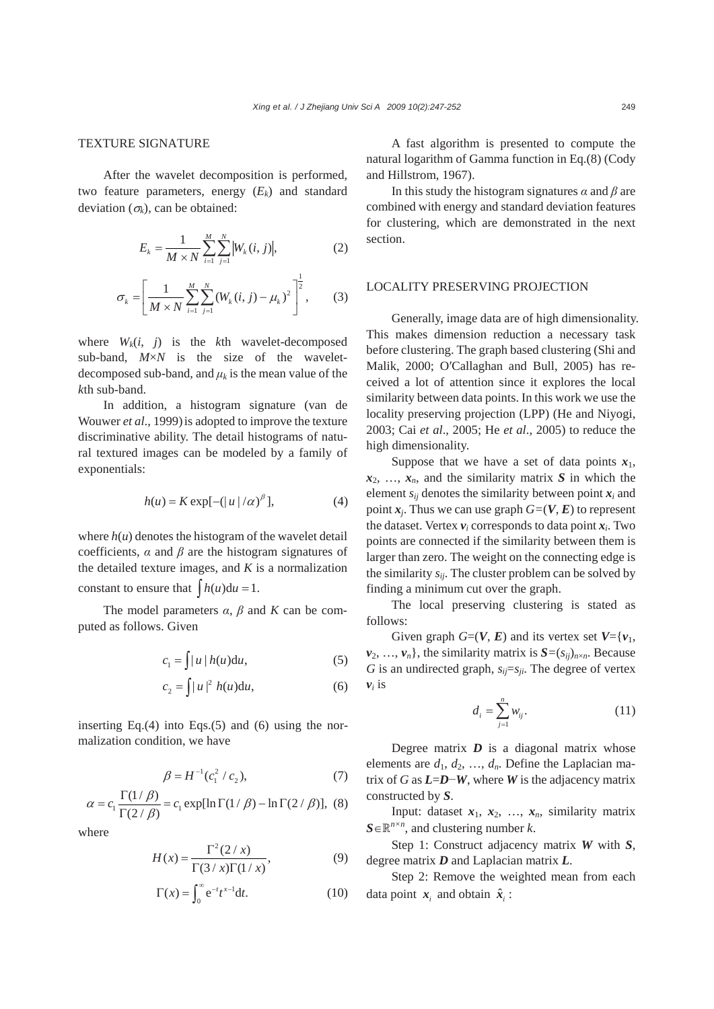### TEXTURE SIGNATURE

After the wavelet decomposition is performed, two feature parameters, energy  $(E_k)$  and standard deviation  $(\sigma_k)$ , can be obtained:

$$
E_k = \frac{1}{M \times N} \sum_{i=1}^{M} \sum_{j=1}^{N} |W_k(i, j)|,
$$
 (2)

$$
\sigma_k = \left[ \frac{1}{M \times N} \sum_{i=1}^{M} \sum_{j=1}^{N} (W_k(i, j) - \mu_k)^2 \right]^{\frac{1}{2}},
$$
 (3)

where  $W_k(i, j)$  is the kth wavelet-decomposed sub-band, *M*×*N* is the size of the waveletdecomposed sub-band, and  $\mu_k$  is the mean value of the *k*th sub-band.

In addition, a histogram signature (van de Wouwer *et al*., 1999)is adopted to improve the texture discriminative ability. The detail histograms of natural textured images can be modeled by a family of exponentials:

$$
h(u) = K \exp[-(|u|/\alpha)^{\beta}], \tag{4}
$$

where  $h(u)$  denotes the histogram of the wavelet detail coefficients,  $\alpha$  and  $\beta$  are the histogram signatures of the detailed texture images, and *K* is a normalization constant to ensure that  $\int h(u) du = 1$ .

The model parameters  $\alpha$ ,  $\beta$  and  $K$  can be computed as follows. Given

$$
c_1 = \int |u| h(u) \mathrm{d}u,\tag{5}
$$

$$
c_2 = \int |u|^2 h(u) \mathrm{d}u,\tag{6}
$$

inserting Eq. $(4)$  into Eqs. $(5)$  and  $(6)$  using the normalization condition, we have

$$
\beta = H^{-1}(c_1^2 / c_2),\tag{7}
$$

$$
\alpha = c_1 \frac{\Gamma(1/\beta)}{\Gamma(2/\beta)} = c_1 \exp[\ln \Gamma(1/\beta) - \ln \Gamma(2/\beta)], \quad (8)
$$

where  

$$
H(x) = \frac{\Gamma^2(2/x)}{\Gamma(3/x)\Gamma(1/x)},
$$
(9)

$$
\Gamma(x) = \int_0^\infty e^{-t} t^{x-1} dt.
$$
 (10)

A fast algorithm is presented to compute the natural logarithm of Gamma function in Eq.(8) (Cody and Hillstrom, 1967).

In this study the histogram signatures *α* and *β* are combined with energy and standard deviation features for clustering, which are demonstrated in the next section.

# LOCALITY PRESERVING PROJECTION

Generally, image data are of high dimensionality. This makes dimension reduction a necessary task before clustering. The graph based clustering (Shi and Malik, 2000; O′Callaghan and Bull, 2005) has received a lot of attention since it explores the local similarity between data points. In this work we use the locality preserving projection (LPP) (He and Niyogi, 2003; Cai *et al*., 2005; He *et al*., 2005) to reduce the high dimensionality.

Suppose that we have a set of data points  $x_1$ ,  $x_2, \ldots, x_n$ , and the similarity matrix *S* in which the element  $s_{ii}$  denotes the similarity between point  $x_i$  and point  $x_i$ . Thus we can use graph  $G=(V, E)$  to represent the dataset. Vertex  $v_i$  corresponds to data point  $x_i$ . Two points are connected if the similarity between them is larger than zero. The weight on the connecting edge is the similarity  $s_{ij}$ . The cluster problem can be solved by finding a minimum cut over the graph.

The local preserving clustering is stated as follows:

Given graph  $G=(V, E)$  and its vertex set  $V=\{v_1,$  $v_2, \ldots, v_n$ , the similarity matrix is  $S = (s_{ij})_{n \times n}$ . Because *G* is an undirected graph,  $s_{ij}=s_{ji}$ . The degree of vertex  $v_i$  is

$$
d_i = \sum_{j=1}^n w_{ij}.
$$
 (11)

Degree matrix *D* is a diagonal matrix whose elements are  $d_1, d_2, ..., d_n$ . Define the Laplacian matrix of *G* as  $L=$ *D*−*W*, where *W* is the adjacency matrix constructed by *S*.

Input: dataset  $x_1, x_2, ..., x_n$ , similarity matrix  $S \in \mathbb{R}^{n \times n}$ , and clustering number *k*.

Step 1: Construct adjacency matrix *W* with *S*, degree matrix *D* and Laplacian matrix *L*.

Step 2: Remove the weighted mean from each data point  $\mathbf{x}_i$  and obtain  $\hat{\mathbf{x}}_i$ :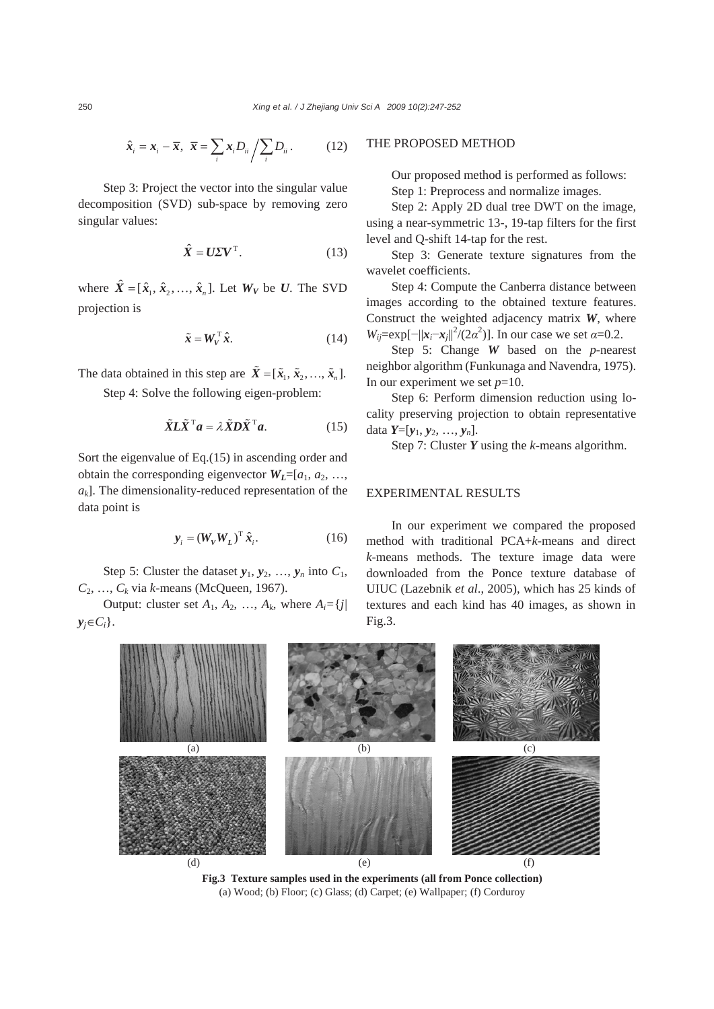$$
\hat{\boldsymbol{x}}_i = \boldsymbol{x}_i - \overline{\boldsymbol{x}}, \ \ \overline{\boldsymbol{x}} = \sum_i \boldsymbol{x}_i D_{ii} / \sum_i D_{ii} . \tag{12}
$$

Step 3: Project the vector into the singular value decomposition (SVD) sub-space by removing zero singular values:

$$
\hat{X} = U\Sigma V^{\mathrm{T}}.\tag{13}
$$

where  $\hat{X} = [\hat{x}_1, \hat{x}_2, \dots, \hat{x}_n]$ . Let  $W_V$  be *U*. The SVD projection is

$$
\tilde{\mathbf{x}} = \mathbf{W}_V^{\mathrm{T}} \hat{\mathbf{x}}.
$$
 (14)

The data obtained in this step are  $\tilde{X} = [\tilde{x}_1, \tilde{x}_2, \dots, \tilde{x}_n].$ Step 4: Solve the following eigen-problem:

$$
\tilde{X}L\tilde{X}^{\mathrm{T}}a = \lambda \tilde{X}D\tilde{X}^{\mathrm{T}}a. \tag{15}
$$

Sort the eigenvalue of Eq.(15) in ascending order and obtain the corresponding eigenvector  $W_L = [a_1, a_2, \ldots, a_k]$  $a_k$ ]. The dimensionality-reduced representation of the data point is

$$
\mathbf{y}_{i} = (W_{V} W_{L})^{\mathrm{T}} \hat{\mathbf{x}}_{i}.
$$
 (16)

Step 5: Cluster the dataset  $y_1, y_2, ..., y_n$  into  $C_1$ , *C*2, …, *Ck* via *k*-means (McQueen, 1967).

Output: cluster set  $A_1$ ,  $A_2$ , ...,  $A_k$ , where  $A_i = \{j |$  $y_i \in C_i$ .

### THE PROPOSED METHOD

Our proposed method is performed as follows: Step 1: Preprocess and normalize images.

Step 2: Apply 2D dual tree DWT on the image, using a near-symmetric 13-, 19-tap filters for the first level and Q-shift 14-tap for the rest.

Step 3: Generate texture signatures from the wavelet coefficients.

Step 4: Compute the Canberra distance between images according to the obtained texture features. Construct the weighted adjacency matrix *W*, where *W*<sub>ij</sub>=exp[- $||x_i-x_j||^2/(2\alpha^2)$ ]. In our case we set *α*=0.2.

Step 5: Change *W* based on the *p*-nearest neighbor algorithm (Funkunaga and Navendra, 1975). In our experiment we set  $p=10$ .

Step 6: Perform dimension reduction using locality preserving projection to obtain representative data  $Y=[y_1, y_2, ..., y_n].$ 

Step 7: Cluster *Y* using the *k*-means algorithm.

## EXPERIMENTAL RESULTS

In our experiment we compared the proposed method with traditional PCA+*k*-means and direct *k*-means methods. The texture image data were downloaded from the Ponce texture database of UIUC (Lazebnik *et al*., 2005), which has 25 kinds of textures and each kind has 40 images, as shown in Fig.3.



**Fig.3 Texture samples used in the experiments (all from Ponce collection)**  (a) Wood; (b) Floor; (c) Glass; (d) Carpet; (e) Wallpaper; (f) Corduroy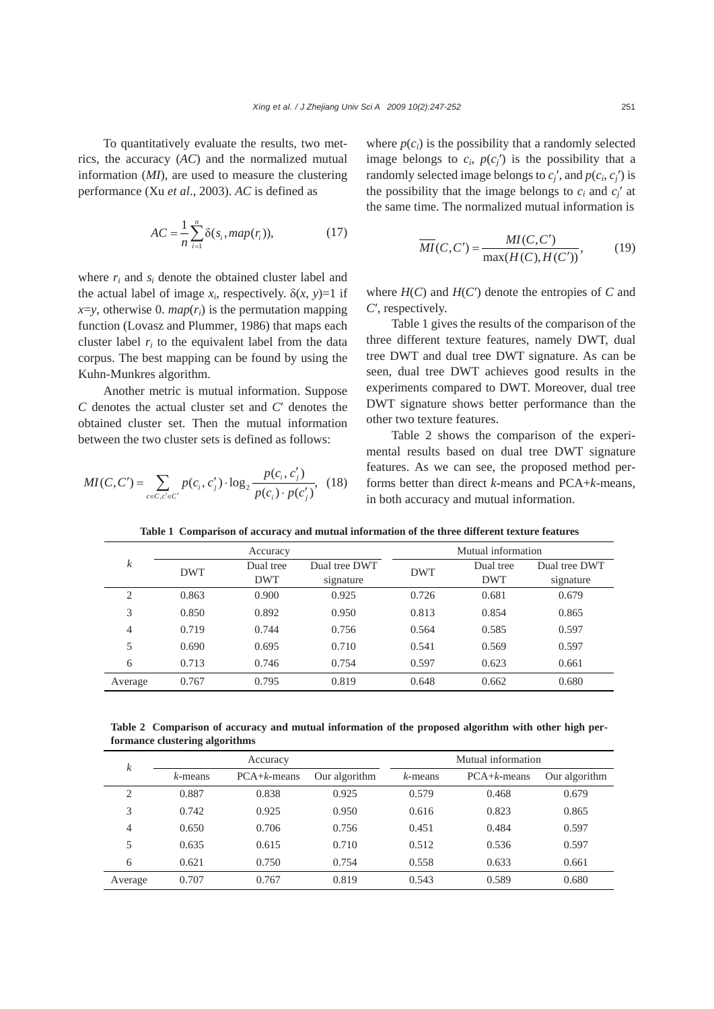To quantitatively evaluate the results, two metrics, the accuracy (*AC*) and the normalized mutual information (*MI*), are used to measure the clustering performance (Xu *et al*., 2003). *AC* is defined as

$$
AC = \frac{1}{n} \sum_{i=1}^{n} \delta(s_i, map(r_i)),
$$
 (17)

where  $r_i$  and  $s_i$  denote the obtained cluster label and the actual label of image  $x_i$ , respectively.  $\delta(x, y)=1$  if  $x = y$ , otherwise 0. *map*( $r_i$ ) is the permutation mapping function (Lovasz and Plummer, 1986) that maps each cluster label  $r_i$  to the equivalent label from the data corpus. The best mapping can be found by using the Kuhn-Munkres algorithm.

Another metric is mutual information. Suppose *C* denotes the actual cluster set and *C*′ denotes the obtained cluster set. Then the mutual information between the two cluster sets is defined as follows:

$$
MI(C, C') = \sum_{c \in C, c' \in C'} p(c_i, c'_j) \cdot \log_2 \frac{p(c_i, c'_j)}{p(c_i) \cdot p(c'_j)}, \quad (18)
$$

where  $p(c_i)$  is the possibility that a randomly selected image belongs to  $c_i$ ,  $p(c_j)$  is the possibility that a randomly selected image belongs to  $c_i'$ , and  $p(c_i, c_i')$  is the possibility that the image belongs to  $c_i$  and  $c'_i$  at the same time. The normalized mutual information is

$$
\overline{MI}(C, C') = \frac{MI(C, C')}{\max(H(C), H(C'))},
$$
(19)

where  $H(C)$  and  $H(C')$  denote the entropies of  $C$  and *C*′, respectively.

Table 1 gives the results of the comparison of the three different texture features, namely DWT, dual tree DWT and dual tree DWT signature. As can be seen, dual tree DWT achieves good results in the experiments compared to DWT. Moreover, dual tree DWT signature shows better performance than the other two texture features.

Table 2 shows the comparison of the experimental results based on dual tree DWT signature features. As we can see, the proposed method performs better than direct *k*-means and PCA+*k*-means, in both accuracy and mutual information.

| $\boldsymbol{k}$ | Accuracy   |                         |                            | Mutual information |                         |                            |
|------------------|------------|-------------------------|----------------------------|--------------------|-------------------------|----------------------------|
|                  | <b>DWT</b> | Dual tree<br><b>DWT</b> | Dual tree DWT<br>signature | <b>DWT</b>         | Dual tree<br><b>DWT</b> | Dual tree DWT<br>signature |
| 2                | 0.863      | 0.900                   | 0.925                      | 0.726              | 0.681                   | 0.679                      |
| 3                | 0.850      | 0.892                   | 0.950                      | 0.813              | 0.854                   | 0.865                      |
| 4                | 0.719      | 0.744                   | 0.756                      | 0.564              | 0.585                   | 0.597                      |
| 5                | 0.690      | 0.695                   | 0.710                      | 0.541              | 0.569                   | 0.597                      |
| 6                | 0.713      | 0.746                   | 0.754                      | 0.597              | 0.623                   | 0.661                      |
| Average          | 0.767      | 0.795                   | 0.819                      | 0.648              | 0.662                   | 0.680                      |

**Table 1 Comparison of accuracy and mutual information of the three different texture features** 

**Table 2 Comparison of accuracy and mutual information of the proposed algorithm with other high performance clustering algorithms** 

| $\boldsymbol{k}$ | Accuracy   |               |               | Mutual information |               |               |
|------------------|------------|---------------|---------------|--------------------|---------------|---------------|
|                  | $k$ -means | $PCA+k-means$ | Our algorithm | $k$ -means         | $PCA+k-means$ | Our algorithm |
| 2                | 0.887      | 0.838         | 0.925         | 0.579              | 0.468         | 0.679         |
| 3                | 0.742      | 0.925         | 0.950         | 0.616              | 0.823         | 0.865         |
| 4                | 0.650      | 0.706         | 0.756         | 0.451              | 0.484         | 0.597         |
| 5                | 0.635      | 0.615         | 0.710         | 0.512              | 0.536         | 0.597         |
| 6                | 0.621      | 0.750         | 0.754         | 0.558              | 0.633         | 0.661         |
| Average          | 0.707      | 0.767         | 0.819         | 0.543              | 0.589         | 0.680         |